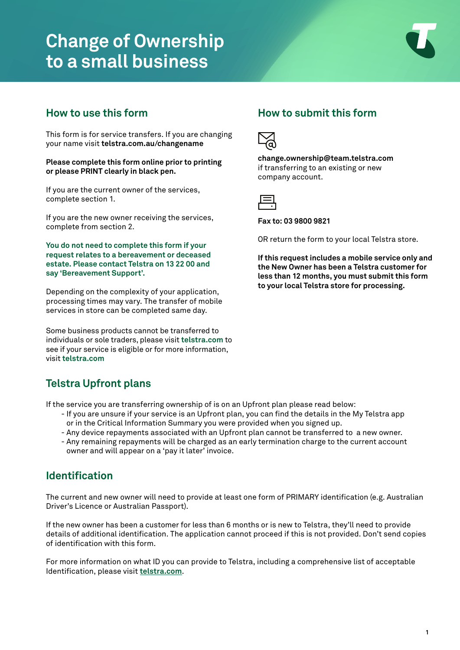# **Change of Ownership to a small business**



## **How to use this form**

This form is for service transfers. If you are changing your name visit **telstra.com.au/changename**

**Please complete this form online prior to printing or please PRINT clearly in black pen.**

If you are the current owner of the services, complete section 1.

If you are the new owner receiving the services, complete from section 2.

**You do not need to complete this form if your request relates to a bereavement or deceased estate. Please contact Telstra on 13 22 00 and say 'Bereavement Support'.**

Depending on the complexity of your application, processing times may vary. The transfer of mobile services in store can be completed same day.

Some business products cannot be transferred to individuals or sole traders, please visit **t[elstra.com](https://www.telstra.com.au/support/account-payment/give-ownership-of-account-to-someone)** to see if your service is eligible or for more information, visit **[telstra.com](https://www.telstra.com.au/support/account-payment/give-ownership-of-account-to-someone)** 

# **Telstra Upfront plans**

If the service you are transferring ownership of is on an Upfront plan please read below:

- If you are unsure if your service is an Upfront plan, you can find the details in the My Telstra app or in the Critical Information Summary you were provided when you signed up.
- Any device repayments associated with an Upfront plan cannot be transferred to a new owner.
- Any remaining repayments will be charged as an early termination charge to the current account owner and will appear on a 'pay it later' invoice.

## **Identification**

The current and new owner will need to provide at least one form of PRIMARY identification (e.g. Australian Driver's Licence or Australian Passport).

If the new owner has been a customer for less than 6 months or is new to Telstra, they'll need to provide details of additional identification. The application cannot proceed if this is not provided. Don't send copies of identification with this form.

For more information on what ID you can provide to Telstra, including a comprehensive list of acceptable Identification, please visit **[telstra.com](https://www.telstra.com.au/support/account-payment/id-check-for-new-account)**.

## **How to submit this form**



**[change.ownership@team.telstra.com](mailto:change.ownership%40team.telstra.com?subject=)** if transferring to an existing or new company account.



**Fax to: 03 9800 9821**

OR return the form to your local Telstra store.

**If this request includes a mobile service only and the New Owner has been a Telstra customer for less than 12 months, you must submit this form to your local Telstra store for processing.**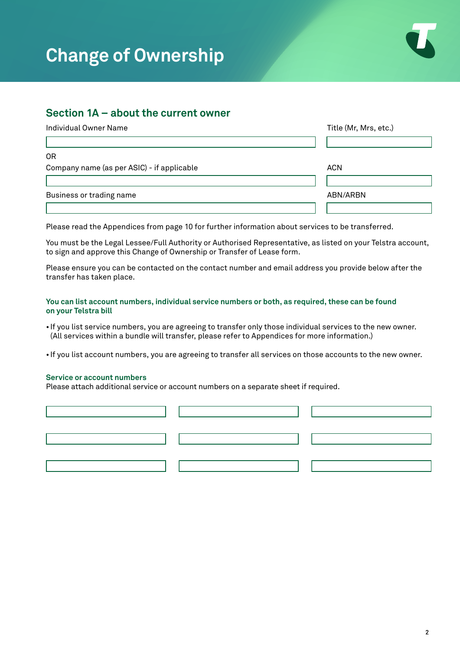

### **Section 1A – about the current owner**

| Individual Owner Name                      | Title (Mr, Mrs, etc.) |
|--------------------------------------------|-----------------------|
|                                            |                       |
| 0R                                         |                       |
| Company name (as per ASIC) - if applicable | <b>ACN</b>            |
|                                            |                       |
| Business or trading name                   | ABN/ARBN              |
|                                            |                       |

Please read the [Appendi](mailto:change.ownership%40team.telstra.com?subject=)ces from page 10 for further information about services to be transferred.

You must be the Legal Lessee/Full Authority or Authorised Representative, as listed on your Telstra account, to sign and approve this Change of Ownership or Transfer of Lease form.

Please ensure you can be contacted on the contact number and email address you provide below after the transfer has taken place.

#### **You can list account numbers, individual service numbers or both, as required, these can be found on your Telstra bill**

• If you list service numbers, you are agreeing to transfer only those individual services to the new owner. (All services within a bundle will transfer, please refer to Appendices for more information.)

• If you list account numbers, you are agreeing to transfer all services on those accounts to the new owner.

### **Service or account numbers**

Please attach additional service or account numbers on a separate sheet if required.

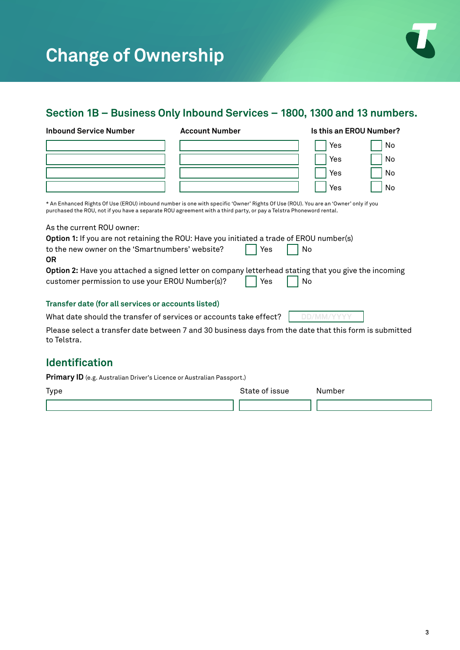

# **Section 1B – Business Only Inbound Services – 1800, 1300 and 13 numbers.**

| <b>Inbound Service Number</b>                       | <b>Account Number</b>                                                                                                                                                                                                                                    | Is this an EROU Number? |     |
|-----------------------------------------------------|----------------------------------------------------------------------------------------------------------------------------------------------------------------------------------------------------------------------------------------------------------|-------------------------|-----|
|                                                     |                                                                                                                                                                                                                                                          | Yes                     | No  |
|                                                     |                                                                                                                                                                                                                                                          | Yes                     | No. |
|                                                     |                                                                                                                                                                                                                                                          | Yes                     | No. |
|                                                     |                                                                                                                                                                                                                                                          | Yes                     | No  |
|                                                     | * An Enhanced Rights Of Use (EROU) inbound number is one with specific 'Owner' Rights Of Use (ROU). You are an 'Owner' only if you<br>purchased the ROU, not if you have a separate ROU agreement with a third party, or pay a Telstra Phoneword rental. |                         |     |
| As the current ROU owner:                           |                                                                                                                                                                                                                                                          |                         |     |
|                                                     | Option 1: If you are not retaining the ROU: Have you initiated a trade of EROU number(s)                                                                                                                                                                 |                         |     |
| to the new owner on the 'Smartnumbers' website?     | Yes                                                                                                                                                                                                                                                      | No                      |     |
| 0R                                                  |                                                                                                                                                                                                                                                          |                         |     |
|                                                     | Option 2: Have you attached a signed letter on company letterhead stating that you give the incoming                                                                                                                                                     |                         |     |
| customer permission to use your EROU Number(s)?     | Yes                                                                                                                                                                                                                                                      | No                      |     |
| Transfer date (for all services or accounts listed) |                                                                                                                                                                                                                                                          |                         |     |
|                                                     | What date should the transfer of services or accounts take effect?                                                                                                                                                                                       | DD/MM/Y                 |     |
| to Telstra.                                         | Please select a transfer date between 7 and 30 business days from the date that this form is submitted                                                                                                                                                   |                         |     |
|                                                     |                                                                                                                                                                                                                                                          |                         |     |

## **Identification**

**Primary ID** (e.g. Australian Driver's Licence or Australian Passport.)

| Type | State of issue | Number |
|------|----------------|--------|
|      |                |        |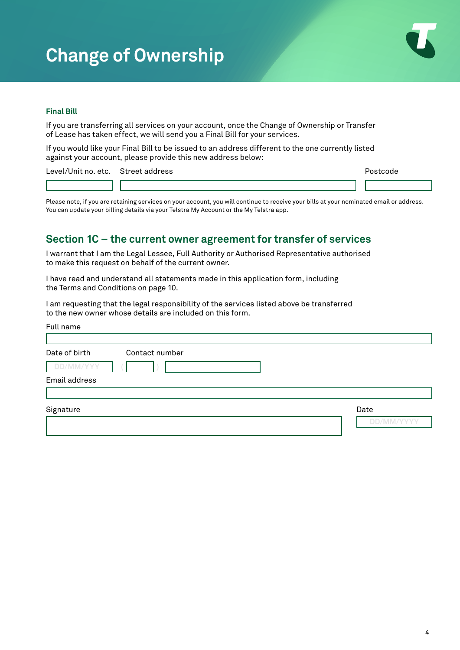

### **Final Bill**

If you are transferring all services on your account, once the Change of Ownership or Transfer of Lease has taken effect, we will send you a Final Bill for your services.

If you would like your Final Bill to be issued to an address different to the one currently listed against your account, please provide this new address below:

Level/Unit no. etc. Street address experience of the street and the postcode postcode

Please note, if you are retaining services on your account, you will continue to receive your bills at your nominated email or address. You can update your billing details via your Telstra My Account or the My Telstra app.

## **Section 1C – the current owner agreement for transfer of services**

I warrant that I am the Legal Lessee, Full Authority or Authorised Representative authorised to make this request on behalf of the current owner.

I have read and understand all statements made in this application form, including the Terms and Conditions on page 10.

I am requesting that the legal responsibility of the services listed above be transferred to the new owner whose details are included on this form.

| Full name                                    |                  |
|----------------------------------------------|------------------|
| Date of birth<br>Contact number<br>DD/MM/YYY |                  |
| Email address                                |                  |
| Signature                                    | Date<br>'MM/VYYY |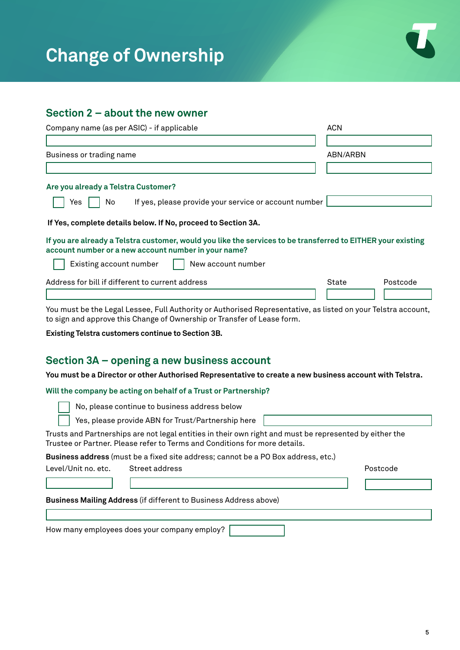

# **Section 2 – about the new owner**

| Company name (as per ASIC) - if applicable                                                                                                                                               | <b>ACN</b>        |
|------------------------------------------------------------------------------------------------------------------------------------------------------------------------------------------|-------------------|
|                                                                                                                                                                                          |                   |
| Business or trading name                                                                                                                                                                 | ABN/ARBN          |
|                                                                                                                                                                                          |                   |
| Are you already a Telstra Customer?                                                                                                                                                      |                   |
| If yes, please provide your service or account number<br>Yes<br>No.                                                                                                                      |                   |
| If Yes, complete details below. If No, proceed to Section 3A.                                                                                                                            |                   |
| If you are already a Telstra customer, would you like the services to be transferred to EITHER your existing<br>account number or a new account number in your name?                     |                   |
| Existing account number<br>New account number                                                                                                                                            |                   |
| Address for bill if different to current address                                                                                                                                         | Postcode<br>State |
|                                                                                                                                                                                          |                   |
| You must be the Legal Lessee, Full Authority or Authorised Representative, as listed on your Telstra account,<br>to sign and approve this Change of Ownership or Transfer of Lease form. |                   |
| Existing Telstra customers continue to Section 3B.                                                                                                                                       |                   |
| Section 3A – opening a new business account                                                                                                                                              |                   |
| You must be a Director or other Authorised Representative to create a new business account with Telstra.                                                                                 |                   |
| Will the company be acting on behalf of a Trust or Partnership?                                                                                                                          |                   |
| No, please continue to business address below                                                                                                                                            |                   |
| Yes, please provide ABN for Trust/Partnership here                                                                                                                                       |                   |
| Trusts and Partnerships are not legal entities in their own right and must be represented by either the<br>Trustee or Partner. Please refer to Terms and Conditions for more details.    |                   |
| Business address (must be a fixed site address; cannot be a PO Box address, etc.)                                                                                                        |                   |
| Level/Unit no. etc.<br>Street address                                                                                                                                                    | Postcode          |
|                                                                                                                                                                                          |                   |
| Business Mailing Address (if different to Business Address above)                                                                                                                        |                   |

| How many employees does your company employ? |  |  |
|----------------------------------------------|--|--|
|                                              |  |  |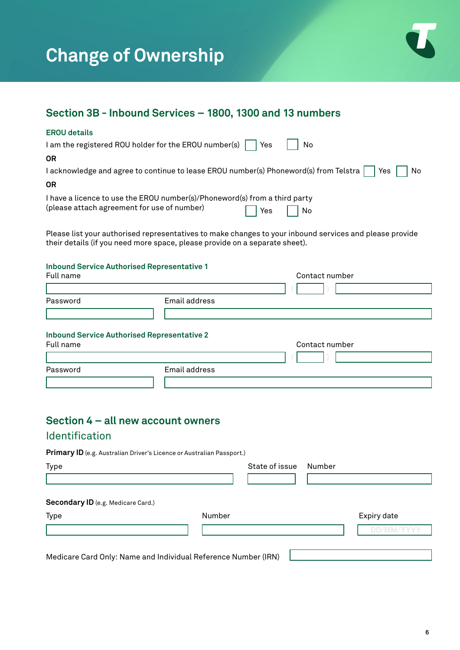

## **Section 3B - Inbound Services – 1800, 1300 and 13 numbers**

#### **EROU details**

| I am the registered ROU holder for the EROU number(s) $\Box$ Yes                                                          | No                                  |
|---------------------------------------------------------------------------------------------------------------------------|-------------------------------------|
| <b>OR</b>                                                                                                                 |                                     |
| I acknowledge and agree to continue to lease EROU number(s) Phoneword(s) from Telstra     Yes     No                      |                                     |
| <b>OR</b>                                                                                                                 |                                     |
| I have a licence to use the EROU number(s)/Phoneword(s) from a third party<br>(please attach agreement for use of number) | $\sqrt{1}$ Yes   $\sqrt{1}$<br>  No |

Please list your authorised representatives to make changes to your inbound services and please provide their details (if you need more space, please provide on a separate sheet).

#### **Inbound Service Authorised Representative 1**

| Full name |                                                    | Contact number |  |  |  |
|-----------|----------------------------------------------------|----------------|--|--|--|
|           |                                                    |                |  |  |  |
| Password  | Email address                                      |                |  |  |  |
|           |                                                    |                |  |  |  |
|           | <b>Inbound Service Authorised Representative 2</b> |                |  |  |  |
| Full name |                                                    | Contact number |  |  |  |
|           |                                                    |                |  |  |  |

| Password | Email address |  |  |
|----------|---------------|--|--|
|          |               |  |  |

# **Section 4 – all new account owners**

### Identification

**Primary ID** (e.g. Australian Driver's Licence or Australian Passport.)

| <b>Type</b>                                                    |        | State of issue | Number |                   |
|----------------------------------------------------------------|--------|----------------|--------|-------------------|
| Secondary ID (e.g. Medicare Card.)                             |        |                |        |                   |
| Type                                                           | Number |                |        | Expiry date       |
|                                                                |        |                |        | <b>DD/MM/YYYY</b> |
| Medicare Card Only: Name and Individual Reference Number (IRN) |        |                |        |                   |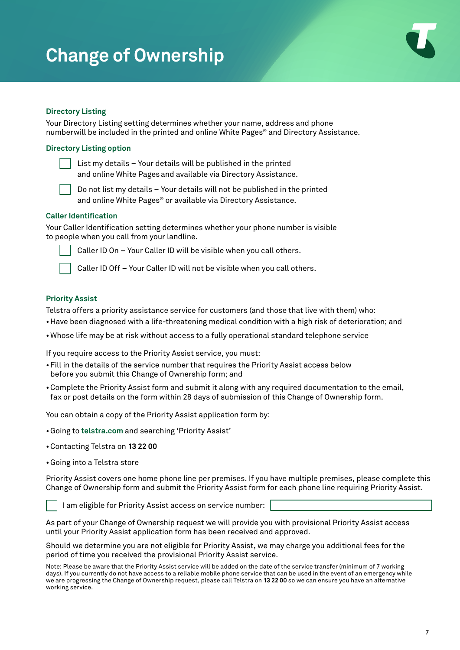

### **Directory Listing**

Your Directory Listing setting determines whether your name, address and phone numberwill be included in the printed and online White Pages® and Directory Assistance.

#### **Directory Listing option**

 List my details – Your details will be published in the printed and online White Pages and available via Directory Assistance.

 Do not list my details – Your details will not be published in the printed and online White Pages<sup>®</sup> or available via Directory Assistance.

#### **Caller Identification**

Your Caller Identification setting determines whether your phone number is visible to people when you call from your landline.



Caller ID On – Your Caller ID will be visible when you call others.

Caller ID Off – Your Caller ID will not be visible when you call others.

#### **Priority Assist**

Telstra offers a priority assistance service for customers (and those that live with them) who:

- Have been diagnosed with a life-threatening medical condition with a high risk of deterioration; and
- •Whose life may be at risk without access to a fully operational standard telephone service

If you require access to the Priority Assist service, you must:

- •Fill in the details of the service number that requires the Priority Assist access below before you submit this Change of Ownership form; and
- •Complete the Priority Assist form and submit it along with any required documentation to the email, fax or post details on the form within 28 days of submission of this Change of Ownership form.

You can obtain a copy of the Priority Assist application form by:

- •Going to **telstra.com** and searching 'Priority Assist'
- •Contacting Telstra on **13 22 00**
- •Going into a Telstra store

Priority Assist covers one home phone line per premises. If you have multiple premises, please complete this Change of Ownership form and submit the Priority Assist form for each phone line requiring Priority Assist.



I am eligible for Priority Assist access on service number:

As part of your Change of Ownership request we will provide you with provisional Priority Assist access until your Priority Assist application form has been received and approved.

Should we determine you are not eligible for Priority Assist, we may charge you additional fees for the period of time you received the provisional Priority Assist service.

Note: Please be aware that the Priority Assist service will be added on the date of the service transfer (minimum of 7 working days). If you currently do not have access to a reliable mobile phone service that can be used in the event of an emergency while we are progressing the Change of Ownership request, please call Telstra on **13 22 00** so we can ensure you have an alternative working service.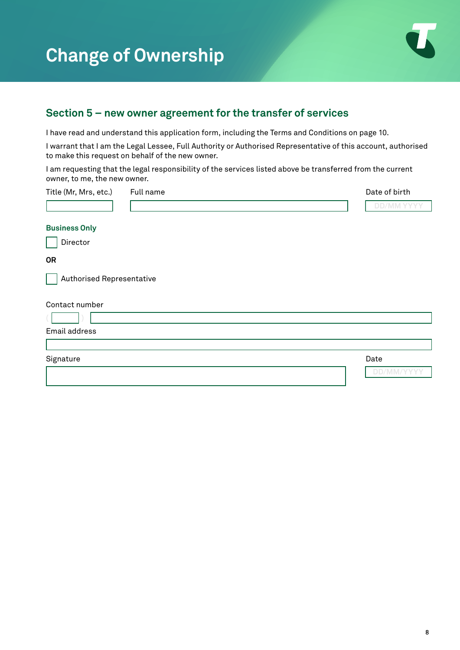

## **Section 5 – new owner agreement for the transfer of services**

I have read and understand this application form, including the Terms and Conditions on page 10.

I warrant that I am the Legal Lessee, Full Authority or Authorised Representative of this account, authorised to make this request on behalf of the new owner.

I am requesting that the legal responsibility of the services listed above be transferred from the current owner, to me, the new owner.

| Title (Mr, Mrs, etc.)     | Full name | Date of birth     |
|---------------------------|-----------|-------------------|
|                           |           | <b>DD/MM YYYY</b> |
| <b>Business Only</b>      |           |                   |
| Director                  |           |                   |
| <b>OR</b>                 |           |                   |
| Authorised Representative |           |                   |
| Contact number            |           |                   |
|                           |           |                   |
| Email address             |           |                   |
|                           |           |                   |
| Signature                 |           | Date              |
|                           |           | DD/MM/YYYY        |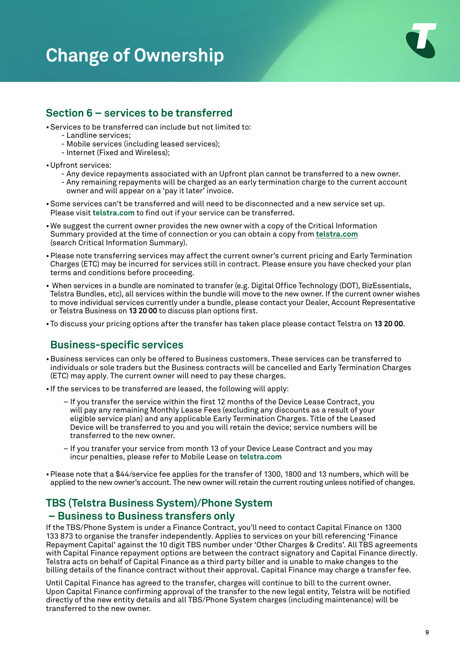

## **Section 6 – services to be transferred**

- •Services to be transferred can include but not limited to:
	- Landline services;
	- Mobile services (including leased services);
	- Internet (Fixed and Wireless);
- •Upfront services:
	- Any device repayments associated with an Upfront plan cannot be transferred to a new owner.
	- Any remaining repayments will be charged as an early termination charge to the current account owner and will appear on a 'pay it later' invoice.
- •Some services can't be transferred and will need to be disconnected and a new service set up. Please visit **[telstra.com](https://www.telstra.com.au/support/account-payment/give-ownership-of-account-to-someone)** to find out if your service can be transferred.
- •We suggest the current owner provides the new owner with a copy of the Critical Information Summary provided at the time of connection or you can obtain a copy from **[telstra.com](https://www.telstra.com.au/help/critical-information-summaries)** (search Critical Information Summary).
- •Please note transferring services may affect the current owner's current pricing and Early Termination Charges (ETC) may be incurred for services still in contract. Please ensure you have checked your plan terms and conditions before proceeding.
- When services in a bundle are nominated to transfer (e.g. Digital Office Technology (DOT), BizEssentials, Telstra Bundles, etc), all services within the bundle will move to the new owner. If the current owner wishes to move individual services currently under a bundle, please contact your Dealer, Account Representative or Telstra Business on **13 20 00** to discuss plan options first.
- To discuss your pricing options after the transfer has taken place please contact Telstra on **13 20 00**.

## **Business-specific services**

- •Business services can only be offered to Business customers. These services can be transferred to individuals or sole traders but the Business contracts will be cancelled and Early Termination Charges (ETC) may apply. The current owner will need to pay these charges.
- If the services to be transferred are leased, the following will apply:
	- − If you transfer the service within the first 12 months of the Device Lease Contract, you will pay any remaining Monthly Lease Fees (excluding any discounts as a result of your eligible service plan) and any applicable Early Termination Charges. Title of the Leased Device will be transferred to you and you will retain the device; service numbers will be transferred to the new owner.
	- − If you transfer your service from month 13 of your Device Lease Contract and you may incur penalties, please refer to Mobile Lease on **[telstra.com](http://Telstra.com)**
- •Please note that a \$44/service fee applies for the transfer of 1300, 1800 and 13 numbers, which will be applied to the new owner's account. The new owner will retain the current routing unless notified of changes.

## **TBS (Telstra Business System)/Phone System – Business to Business transfers only**

If the TBS/Phone System is under a Finance Contract, you'll need to contact Capital Finance on 1300 133 873 to organise the transfer independently. Applies to services on your bill referencing 'Finance Repayment Capital' against the 10 digit TBS number under 'Other Charges & Credits'. All TBS agreements with Capital Finance repayment options are between the contract signatory and Capital Finance directly. Telstra acts on behalf of Capital Finance as a third party biller and is unable to make changes to the billing details of the finance contract without their approval. Capital Finance may charge a transfer fee.

Until Capital Finance has agreed to the transfer, charges will continue to bill to the current owner. Upon Capital Finance confirming approval of the transfer to the new legal entity, Telstra will be notified directly of the new entity details and all TBS/Phone System charges (including maintenance) will be transferred to the new owner.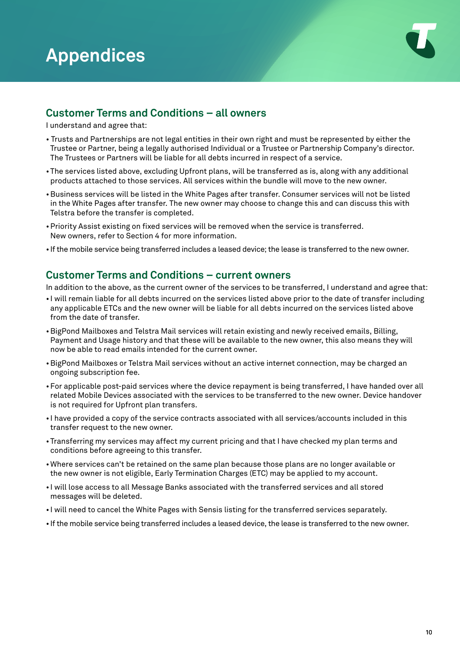

## **Customer Terms and Conditions – all owners**

I understand and agree that:

- Trusts and Partnerships are not legal entities in their own right and must be represented by either the Trustee or Partner, being a legally authorised Individual or a Trustee or Partnership Company's director. The Trustees or Partners will be liable for all debts incurred in respect of a service.
- The services listed above, excluding Upfront plans, will be transferred as is, along with any additional products attached to those services. All services within the bundle will move to the new owner.
- •Business services will be listed in the White Pages after transfer. Consumer services will not be listed in the White Pages after transfer. The new owner may choose to change this and can discuss this with Telstra before the transfer is completed.
- •Priority Assist existing on fixed services will be removed when the service is transferred. New owners, refer to Section 4 for more information.
- If the mobile service being transferred includes a leased device; the lease is transferred to the new owner.

### **Customer Terms and Conditions – current owners**

In addition to the above, as the current owner of the services to be transferred, I understand and agree that:

- I will remain liable for all debts incurred on the services listed above prior to the date of transfer including any applicable ETCs and the new owner will be liable for all debts incurred on the services listed above from the date of transfer.
- •BigPond Mailboxes and Telstra Mail services will retain existing and newly received emails, Billing, Payment and Usage history and that these will be available to the new owner, this also means they will now be able to read emails intended for the current owner.
- •BigPond Mailboxes or Telstra Mail services without an active internet connection, may be charged an ongoing subscription fee.
- •For applicable post-paid services where the device repayment is being transferred, I have handed over all related Mobile Devices associated with the services to be transferred to the new owner. Device handover is not required for Upfront plan transfers.
- I have provided a copy of the service contracts associated with all services/accounts included in this transfer request to the new owner.
- Transferring my services may affect my current pricing and that I have checked my plan terms and conditions before agreeing to this transfer.
- Where services can't be retained on the same plan because those plans are no longer available or the new owner is not eligible, Early Termination Charges (ETC) may be applied to my account.
- I will lose access to all Message Banks associated with the transferred services and all stored messages will be deleted.
- I will need to cancel the White Pages with Sensis listing for the transferred services separately.
- If the mobile service being transferred includes a leased device, the lease is transferred to the new owner.